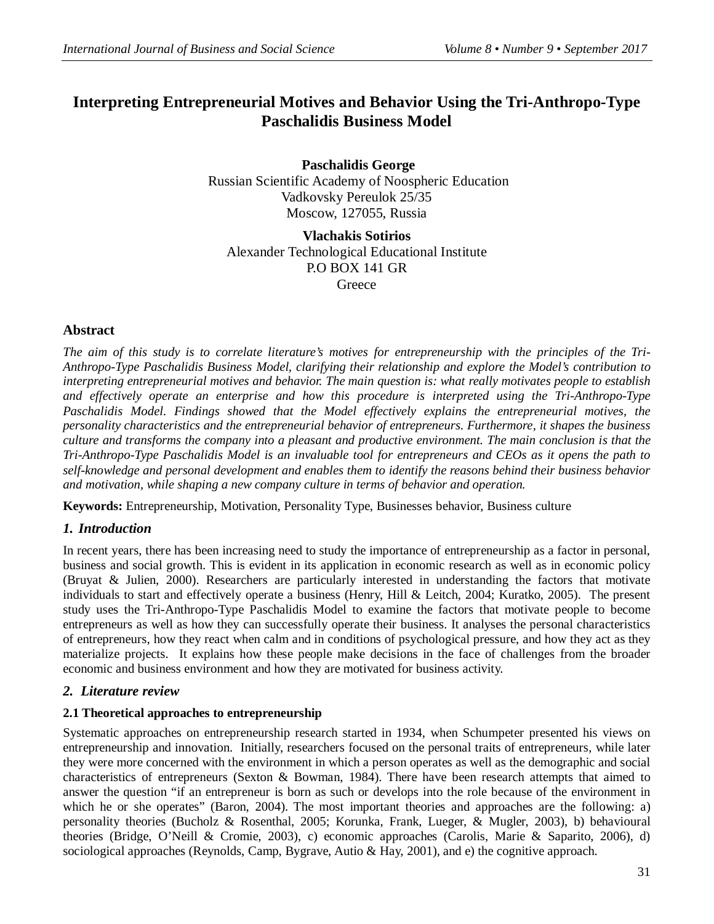# **Interpreting Entrepreneurial Motives and Behavior Using the Tri-Anthropo-Type Paschalidis Business Model**

**Paschalidis George** Russian Scientific Academy of Noospheric Education Vadkovsky Pereulok 25/35 Moscow, 127055, Russia

**Vlachakis Sotirios** Alexander Technological Educational Institute P.O BOX 141 GR **Greece** 

### **Abstract**

*The aim of this study is to correlate literature's motives for entrepreneurship with the principles of the Tri-Anthropo-Type Paschalidis Business Model, clarifying their relationship and explore the Model's contribution to interpreting entrepreneurial motives and behavior. The main question is: what really motivates people to establish and effectively operate an enterprise and how this procedure is interpreted using the Tri-Anthropo-Type Paschalidis Model. Findings showed that the Model effectively explains the entrepreneurial motives, the personality characteristics and the entrepreneurial behavior of entrepreneurs. Furthermore, it shapes the business culture and transforms the company into a pleasant and productive environment. The main conclusion is that the Tri-Anthropo-Type Paschalidis Model is an invaluable tool for entrepreneurs and CEOs as it opens the path to self-knowledge and personal development and enables them to identify the reasons behind their business behavior and motivation, while shaping a new company culture in terms of behavior and operation.* 

**Keywords:** Entrepreneurship, Motivation, Personality Type, Businesses behavior, Business culture

### *1. Introduction*

In recent years, there has been increasing need to study the importance of entrepreneurship as a factor in personal, business and social growth. This is evident in its application in economic research as well as in economic policy (Bruyat & Julien, 2000). Researchers are particularly interested in understanding the factors that motivate individuals to start and effectively operate a business (Henry, Hill & Leitch, 2004; Kuratko, 2005). The present study uses the Tri-Anthropo-Type Paschalidis Model to examine the factors that motivate people to become entrepreneurs as well as how they can successfully operate their business. It analyses the personal characteristics of entrepreneurs, how they react when calm and in conditions of psychological pressure, and how they act as they materialize projects. It explains how these people make decisions in the face of challenges from the broader economic and business environment and how they are motivated for business activity.

### *2. Literature review*

### **2.1 Theoretical approaches to entrepreneurship**

Systematic approaches on entrepreneurship research started in 1934, when Schumpeter presented his views on entrepreneurship and innovation. Initially, researchers focused on the personal traits of entrepreneurs, while later they were more concerned with the environment in which a person operates as well as the demographic and social characteristics of entrepreneurs (Sexton & Bowman, 1984). There have been research attempts that aimed to answer the question "if an entrepreneur is born as such or develops into the role because of the environment in which he or she operates" (Baron, 2004). The most important theories and approaches are the following: a) personality theories (Bucholz & Rosenthal, 2005; Korunka, Frank, Lueger, & Mugler, 2003), b) behavioural theories (Bridge, O'Neill & Cromie, 2003), c) economic approaches (Carolis, Marie & Saparito, 2006), d) sociological approaches (Reynolds, Camp, Bygrave, Autio & Hay, 2001), and e) the cognitive approach.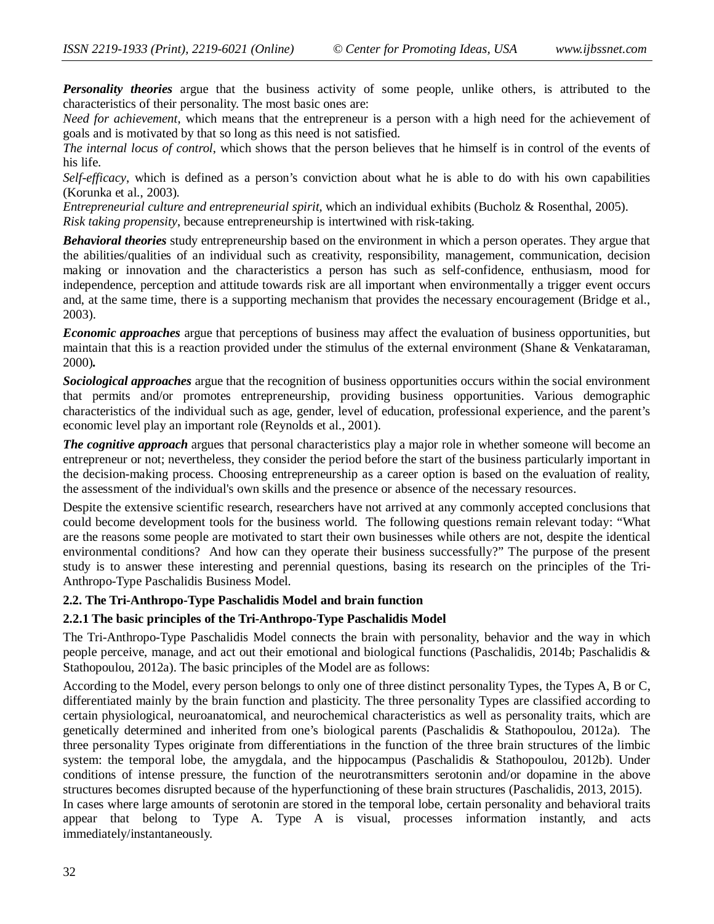*Personality theories* argue that the business activity of some people, unlike others, is attributed to the characteristics of their personality. The most basic ones are:

*Need for achievement*, which means that the entrepreneur is a person with a high need for the achievement of goals and is motivated by that so long as this need is not satisfied.

*The internal locus of control*, which shows that the person believes that he himself is in control of the events of his life.

*Self-efficacy*, which is defined as a person's conviction about what he is able to do with his own capabilities (Korunka et al., 2003).

*Entrepreneurial culture and entrepreneurial spirit,* which an individual exhibits (Bucholz & Rosenthal, 2005). *Risk taking propensity*, because entrepreneurship is intertwined with risk-taking.

*Behavioral theories* study entrepreneurship based on the environment in which a person operates. They argue that the abilities/qualities of an individual such as creativity, responsibility, management, communication, decision making or innovation and the characteristics a person has such as self-confidence, enthusiasm, mood for independence, perception and attitude towards risk are all important when environmentally a trigger event occurs and, at the same time, there is a supporting mechanism that provides the necessary encouragement (Bridge et al., 2003).

*Economic approaches* argue that perceptions of business may affect the evaluation of business opportunities, but maintain that this is a reaction provided under the stimulus of the external environment (Shane & Venkataraman, 2000)*.*

*Sociological approaches* argue that the recognition of business opportunities occurs within the social environment that permits and/or promotes entrepreneurship, providing business opportunities. Various demographic characteristics of the individual such as age, gender, level of education, professional experience, and the parent's economic level play an important role (Reynolds et al., 2001).

*The cognitive approach* argues that personal characteristics play a major role in whether someone will become an entrepreneur or not; nevertheless, they consider the period before the start of the business particularly important in the decision-making process. Choosing entrepreneurship as a career option is based on the evaluation of reality, the assessment of the individual's own skills and the presence or absence of the necessary resources.

Despite the extensive scientific research, researchers have not arrived at any commonly accepted conclusions that could become development tools for the business world. The following questions remain relevant today: "What are the reasons some people are motivated to start their own businesses while others are not, despite the identical environmental conditions? And how can they operate their business successfully?" The purpose of the present study is to answer these interesting and perennial questions, basing its research on the principles of the Tri-Anthropo-Type Paschalidis Business Model.

#### **2.2. The Tri-Anthropo-Type Paschalidis Model and brain function**

#### **2.2.1 The basic principles of the Tri-Anthropo-Type Paschalidis Model**

The Tri-Anthropo-Type Paschalidis Model connects the brain with personality, behavior and the way in which people perceive, manage, and act out their emotional and biological functions (Paschalidis, 2014b; Paschalidis & Stathopoulou, 2012a). The basic principles of the Model are as follows:

According to the Model, every person belongs to only one of three distinct personality Types, the Types A, B or C, differentiated mainly by the brain function and plasticity. The three personality Types are classified according to certain physiological, neuroanatomical, and neurochemical characteristics as well as personality traits, which are genetically determined and inherited from one's biological parents (Paschalidis & Stathopoulou, 2012a). The three personality Types originate from differentiations in the function of the three brain structures of the limbic system: the temporal lobe, the amygdala, and the hippocampus (Paschalidis & Stathopoulou, 2012b). Under conditions of intense pressure, the function of the neurotransmitters serotonin and/or dopamine in the above structures becomes disrupted because of the hyperfunctioning of these brain structures (Paschalidis, 2013, 2015). In cases where large amounts of serotonin are stored in the temporal lobe, certain personality and behavioral traits appear that belong to Type A. Type A is visual, processes information instantly, and acts immediately/instantaneously.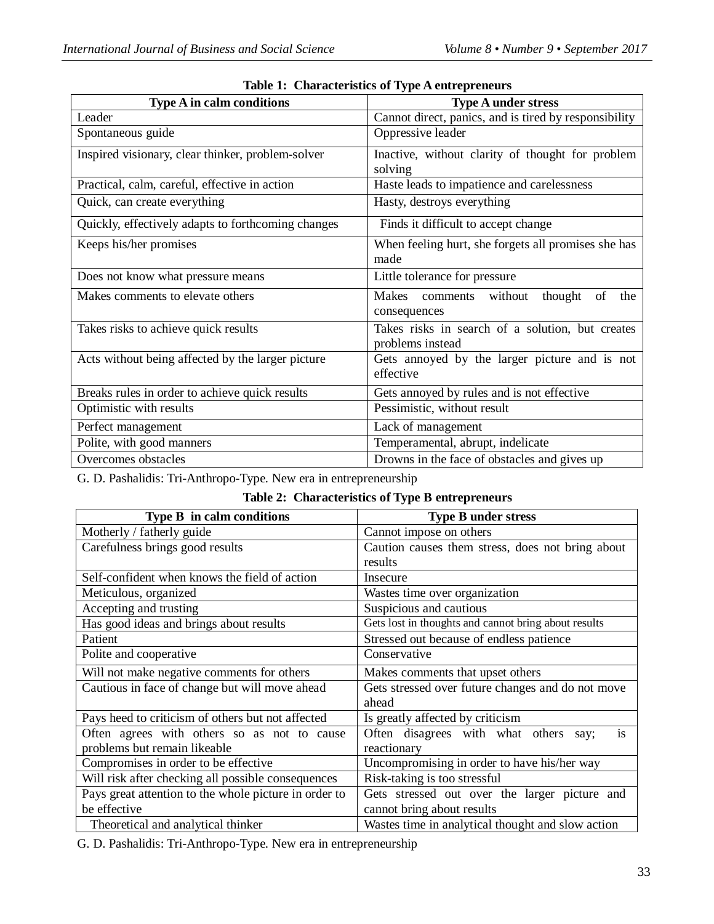| <b>Type A in calm conditions</b>                   | <b>Type A under stress</b>                                           |
|----------------------------------------------------|----------------------------------------------------------------------|
| Leader                                             | Cannot direct, panics, and is tired by responsibility                |
| Spontaneous guide                                  | Oppressive leader                                                    |
| Inspired visionary, clear thinker, problem-solver  | Inactive, without clarity of thought for problem<br>solving          |
| Practical, calm, careful, effective in action      | Haste leads to impatience and carelessness                           |
| Quick, can create everything                       | Hasty, destroys everything                                           |
| Quickly, effectively adapts to forthcoming changes | Finds it difficult to accept change                                  |
| Keeps his/her promises                             | When feeling hurt, she forgets all promises she has<br>made          |
| Does not know what pressure means                  | Little tolerance for pressure                                        |
| Makes comments to elevate others                   | Makes<br>comments without<br>of<br>thought<br>the<br>consequences    |
| Takes risks to achieve quick results               | Takes risks in search of a solution, but creates<br>problems instead |
| Acts without being affected by the larger picture  | Gets annoyed by the larger picture and is not<br>effective           |
| Breaks rules in order to achieve quick results     | Gets annoyed by rules and is not effective                           |
| Optimistic with results                            | Pessimistic, without result                                          |
| Perfect management                                 | Lack of management                                                   |
| Polite, with good manners                          | Temperamental, abrupt, indelicate                                    |
| Overcomes obstacles                                | Drowns in the face of obstacles and gives up                         |

|  | Table 1: Characteristics of Type A entrepreneurs |  |  |
|--|--------------------------------------------------|--|--|
|--|--------------------------------------------------|--|--|

G. D. Pashalidis: Tri-Anthropo-Type. New era in entrepreneurship

## **Table 2: Characteristics of Type B entrepreneurs**

| <b>Type B</b> in calm conditions                      | <b>Type B under stress</b>                                |
|-------------------------------------------------------|-----------------------------------------------------------|
| Motherly / fatherly guide                             | Cannot impose on others                                   |
| Carefulness brings good results                       | Caution causes them stress, does not bring about          |
|                                                       | results                                                   |
| Self-confident when knows the field of action         | Insecure                                                  |
| Meticulous, organized                                 | Wastes time over organization                             |
| Accepting and trusting                                | Suspicious and cautious                                   |
| Has good ideas and brings about results               | Gets lost in thoughts and cannot bring about results      |
| Patient                                               | Stressed out because of endless patience                  |
| Polite and cooperative                                | Conservative                                              |
| Will not make negative comments for others            | Makes comments that upset others                          |
| Cautious in face of change but will move ahead        | Gets stressed over future changes and do not move         |
|                                                       | ahead                                                     |
| Pays heed to criticism of others but not affected     | Is greatly affected by criticism                          |
| Often agrees with others so as not to cause           | Often disagrees with what others<br><sup>is</sup><br>say: |
| problems but remain likeable                          | reactionary                                               |
| Compromises in order to be effective                  | Uncompromising in order to have his/her way               |
| Will risk after checking all possible consequences    | Risk-taking is too stressful                              |
| Pays great attention to the whole picture in order to | Gets stressed out over the larger picture and             |
| be effective                                          | cannot bring about results                                |
| Theoretical and analytical thinker                    | Wastes time in analytical thought and slow action         |

G. D. Pashalidis: Tri-Anthropo-Type. New era in entrepreneurship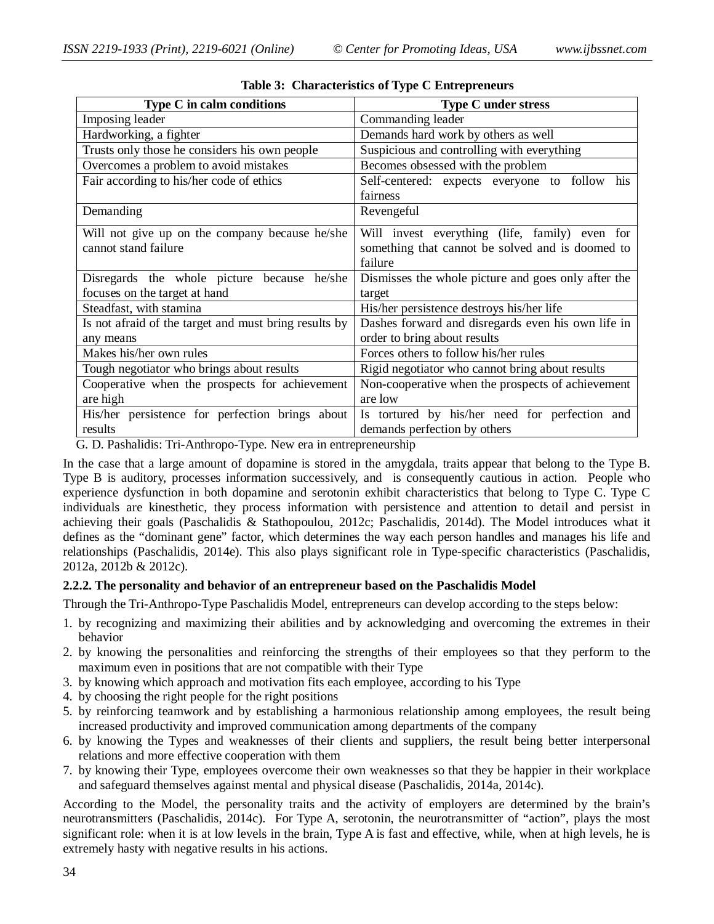| Type C in calm conditions                             | <b>Type C under stress</b>                          |
|-------------------------------------------------------|-----------------------------------------------------|
| Imposing leader                                       | Commanding leader                                   |
| Hardworking, a fighter                                | Demands hard work by others as well                 |
| Trusts only those he considers his own people         | Suspicious and controlling with everything          |
| Overcomes a problem to avoid mistakes                 | Becomes obsessed with the problem                   |
| Fair according to his/her code of ethics              | Self-centered: expects everyone to follow<br>his    |
|                                                       | fairness                                            |
| Demanding                                             | Revengeful                                          |
| Will not give up on the company because he/she        | Will invest everything (life, family) even for      |
| cannot stand failure                                  | something that cannot be solved and is doomed to    |
|                                                       | failure                                             |
| Disregards the whole picture because<br>he/she        | Dismisses the whole picture and goes only after the |
| focuses on the target at hand                         | target                                              |
| Steadfast, with stamina                               | His/her persistence destroys his/her life           |
| Is not afraid of the target and must bring results by | Dashes forward and disregards even his own life in  |
| any means                                             | order to bring about results                        |
| Makes his/her own rules                               | Forces others to follow his/her rules               |
| Tough negotiator who brings about results             | Rigid negotiator who cannot bring about results     |
| Cooperative when the prospects for achievement        | Non-cooperative when the prospects of achievement   |
| are high                                              | are low                                             |
| His/her persistence for perfection brings about       | Is tortured by his/her need for perfection and      |
| results                                               | demands perfection by others                        |

|  |  |  | Table 3: Characteristics of Type C Entrepreneurs |
|--|--|--|--------------------------------------------------|
|--|--|--|--------------------------------------------------|

G. D. Pashalidis: Tri-Anthropo-Type. New era in entrepreneurship

In the case that a large amount of dopamine is stored in the amygdala, traits appear that belong to the Type B. Type B is auditory, processes information successively, and is consequently cautious in action. People who experience dysfunction in both dopamine and serotonin exhibit characteristics that belong to Type C. Type C individuals are kinesthetic, they process information with persistence and attention to detail and persist in achieving their goals (Paschalidis & Stathopoulou, 2012c; Paschalidis, 2014d). The Model introduces what it defines as the "dominant gene" factor, which determines the way each person handles and manages his life and relationships (Paschalidis, 2014e). This also plays significant role in Type-specific characteristics (Paschalidis, 2012a, 2012b & 2012c).

#### **2.2.2. The personality and behavior of an entrepreneur based on the Paschalidis Model**

Through the Tri-Anthropo-Type Paschalidis Model, entrepreneurs can develop according to the steps below:

- 1. by recognizing and maximizing their abilities and by acknowledging and overcoming the extremes in their behavior
- 2. by knowing the personalities and reinforcing the strengths of their employees so that they perform to the maximum even in positions that are not compatible with their Type
- 3. by knowing which approach and motivation fits each employee, according to his Type
- 4. by choosing the right people for the right positions
- 5. by reinforcing teamwork and by establishing a harmonious relationship among employees, the result being increased productivity and improved communication among departments of the company
- 6. by knowing the Types and weaknesses of their clients and suppliers, the result being better interpersonal relations and more effective cooperation with them
- 7. by knowing their Type, employees overcome their own weaknesses so that they be happier in their workplace and safeguard themselves against mental and physical disease (Paschalidis, 2014a, 2014c).

According to the Model, the personality traits and the activity of employers are determined by the brain's neurotransmitters (Paschalidis, 2014c). For Type A, serotonin, the neurotransmitter of "action", plays the most significant role: when it is at low levels in the brain, Type A is fast and effective, while, when at high levels, he is extremely hasty with negative results in his actions.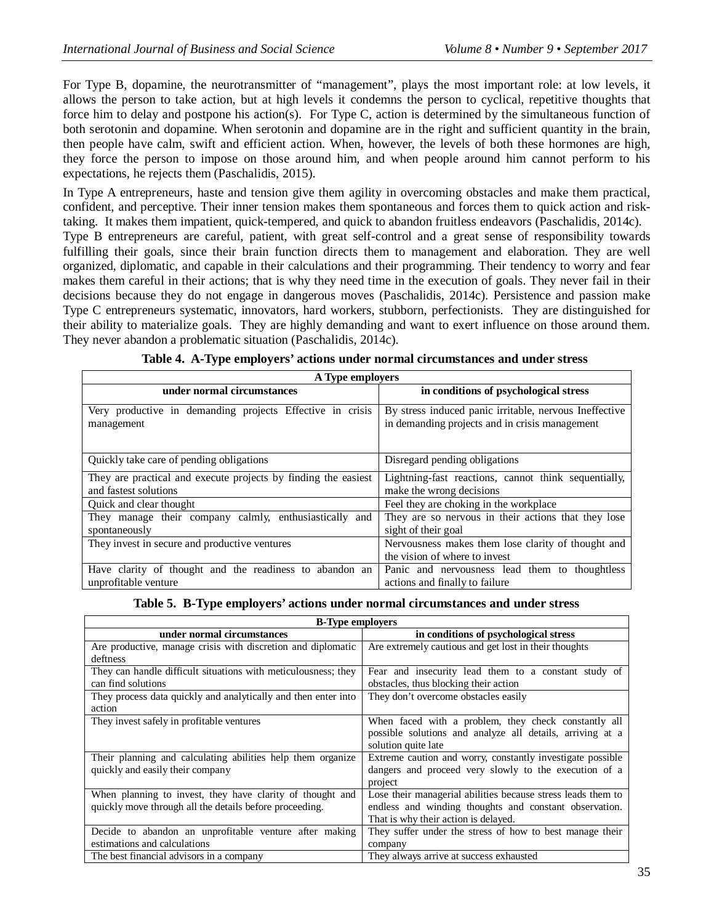For Type B, dopamine, the neurotransmitter of "management", plays the most important role: at low levels, it allows the person to take action, but at high levels it condemns the person to cyclical, repetitive thoughts that force him to delay and postpone his action(s). For Type C, action is determined by the simultaneous function of both serotonin and dopamine. When serotonin and dopamine are in the right and sufficient quantity in the brain, then people have calm, swift and efficient action. When, however, the levels of both these hormones are high, they force the person to impose on those around him, and when people around him cannot perform to his expectations, he rejects them (Paschalidis, 2015).

In Type A entrepreneurs, haste and tension give them agility in overcoming obstacles and make them practical, confident, and perceptive. Their inner tension makes them spontaneous and forces them to quick action and risktaking. It makes them impatient, quick-tempered, and quick to abandon fruitless endeavors (Paschalidis, 2014c). Type B entrepreneurs are careful, patient, with great self-control and a great sense of responsibility towards fulfilling their goals, since their brain function directs them to management and elaboration. They are well organized, diplomatic, and capable in their calculations and their programming. Their tendency to worry and fear makes them careful in their actions; that is why they need time in the execution of goals. They never fail in their

decisions because they do not engage in dangerous moves (Paschalidis, 2014c). Persistence and passion make Type C entrepreneurs systematic, innovators, hard workers, stubborn, perfectionists. They are distinguished for their ability to materialize goals. They are highly demanding and want to exert influence on those around them. They never abandon a problematic situation (Paschalidis, 2014c).

| A Type employers                                                        |                                                                                                          |  |
|-------------------------------------------------------------------------|----------------------------------------------------------------------------------------------------------|--|
| under normal circumstances                                              | in conditions of psychological stress                                                                    |  |
| Very productive in demanding projects Effective in crisis<br>management | By stress induced panic irritable, nervous Ineffective<br>in demanding projects and in crisis management |  |
| Quickly take care of pending obligations                                | Disregard pending obligations                                                                            |  |
| They are practical and execute projects by finding the easiest          | Lightning-fast reactions, cannot think sequentially,                                                     |  |
| and fastest solutions                                                   | make the wrong decisions                                                                                 |  |
| Quick and clear thought                                                 | Feel they are choking in the workplace                                                                   |  |
| They manage their company calmly, enthusiastically and                  | They are so nervous in their actions that they lose                                                      |  |
| spontaneously                                                           | sight of their goal                                                                                      |  |
| They invest in secure and productive ventures                           | Nervousness makes them lose clarity of thought and                                                       |  |
|                                                                         | the vision of where to invest                                                                            |  |
| Have clarity of thought and the readiness to abandon an                 | Panic and nervousness lead them to thoughtless                                                           |  |
| unprofitable venture                                                    | actions and finally to failure                                                                           |  |

|  | Table 4. A-Type employers' actions under normal circumstances and under stress |  |
|--|--------------------------------------------------------------------------------|--|
|  |                                                                                |  |

**Table 5. B-Type employers' actions under normal circumstances and under stress**

| <b>B-Type employers</b>                                                                                              |                                                                                                                                                                |  |
|----------------------------------------------------------------------------------------------------------------------|----------------------------------------------------------------------------------------------------------------------------------------------------------------|--|
| under normal circumstances                                                                                           | in conditions of psychological stress                                                                                                                          |  |
| Are productive, manage crisis with discretion and diplomatic<br>deftness                                             | Are extremely cautious and get lost in their thoughts                                                                                                          |  |
| They can handle difficult situations with meticulousness; they<br>can find solutions                                 | Fear and insecurity lead them to a constant study of<br>obstacles, thus blocking their action                                                                  |  |
| They process data quickly and analytically and then enter into<br>action                                             | They don't overcome obstacles easily                                                                                                                           |  |
| They invest safely in profitable ventures                                                                            | When faced with a problem, they check constantly all<br>possible solutions and analyze all details, arriving at a<br>solution quite late                       |  |
| Their planning and calculating abilities help them organize<br>quickly and easily their company                      | Extreme caution and worry, constantly investigate possible<br>dangers and proceed very slowly to the execution of a<br>project                                 |  |
| When planning to invest, they have clarity of thought and<br>quickly move through all the details before proceeding. | Lose their managerial abilities because stress leads them to<br>endless and winding thoughts and constant observation.<br>That is why their action is delayed. |  |
| Decide to abandon an unprofitable venture after making<br>estimations and calculations                               | They suffer under the stress of how to best manage their<br>company                                                                                            |  |
| The best financial advisors in a company                                                                             | They always arrive at success exhausted                                                                                                                        |  |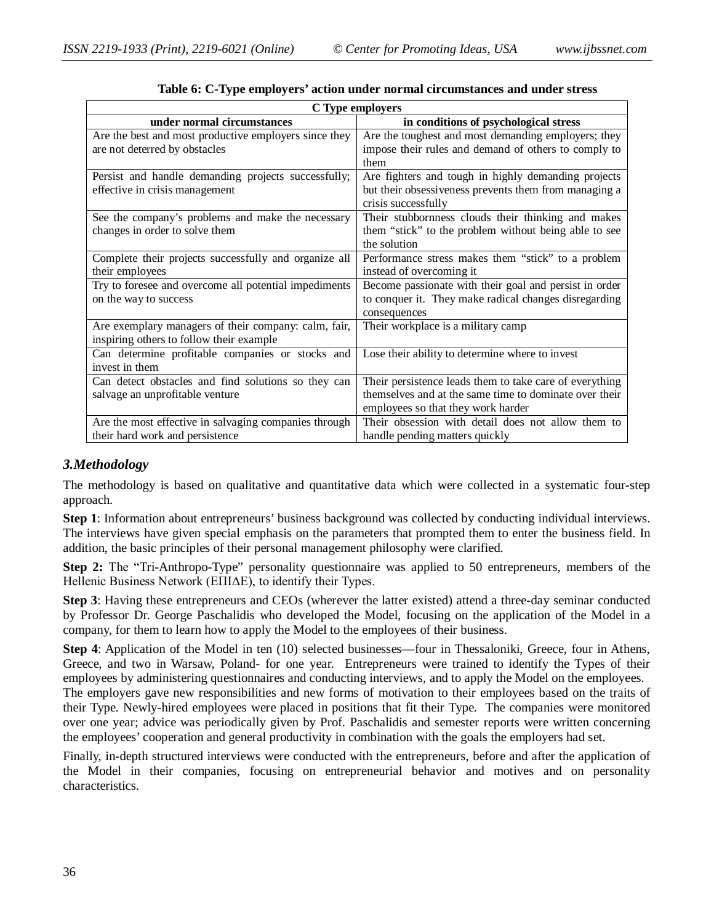| C Type employers                                      |                                                         |  |
|-------------------------------------------------------|---------------------------------------------------------|--|
| under normal circumstances                            | in conditions of psychological stress                   |  |
| Are the best and most productive employers since they | Are the toughest and most demanding employers; they     |  |
| are not deterred by obstacles                         | impose their rules and demand of others to comply to    |  |
|                                                       | them                                                    |  |
| Persist and handle demanding projects successfully;   | Are fighters and tough in highly demanding projects     |  |
| effective in crisis management                        | but their obsessiveness prevents them from managing a   |  |
|                                                       | crisis successfully                                     |  |
| See the company's problems and make the necessary     | Their stubbornness clouds their thinking and makes      |  |
| changes in order to solve them                        | them "stick" to the problem without being able to see   |  |
|                                                       | the solution                                            |  |
| Complete their projects successfully and organize all | Performance stress makes them "stick" to a problem      |  |
| their employees                                       | instead of overcoming it                                |  |
| Try to foresee and overcome all potential impediments | Become passionate with their goal and persist in order  |  |
| on the way to success                                 | to conquer it. They make radical changes disregarding   |  |
|                                                       | consequences                                            |  |
| Are exemplary managers of their company: calm, fair,  | Their workplace is a military camp                      |  |
| inspiring others to follow their example              |                                                         |  |
| Can determine profitable companies or stocks and      | Lose their ability to determine where to invest         |  |
| invest in them                                        |                                                         |  |
| Can detect obstacles and find solutions so they can   | Their persistence leads them to take care of everything |  |
| salvage an unprofitable venture                       | themselves and at the same time to dominate over their  |  |
|                                                       | employees so that they work harder                      |  |
| Are the most effective in salvaging companies through | Their obsession with detail does not allow them to      |  |
| their hard work and persistence                       | handle pending matters quickly                          |  |

**Table 6: C-Type employers' action under normal circumstances and under stress**

### *3.Methodology*

The methodology is based on qualitative and quantitative data which were collected in a systematic four-step approach.

**Step 1**: Information about entrepreneurs' business background was collected by conducting individual interviews. The interviews have given special emphasis on the parameters that prompted them to enter the business field. In addition, the basic principles of their personal management philosophy were clarified.

**Step 2:** Τhe "Tri-Anthropo-Type" personality questionnaire was applied to 50 entrepreneurs, members of the Hellenic Business Network (ΕΠΙΔΕ), to identify their Types.

**Step 3**: Having these entrepreneurs and CEOs (wherever the latter existed) attend a three-day seminar conducted by Professor Dr. George Paschalidis who developed the Model, focusing on the application of the Model in a company, for them to learn how to apply the Model to the employees of their business.

**Step 4**: Application of the Model in ten (10) selected businesses—four in Thessaloniki, Greece, four in Athens, Greece, and two in Warsaw, Poland- for one year. Entrepreneurs were trained to identify the Types of their employees by administering questionnaires and conducting interviews, and to apply the Model on the employees.

The employers gave new responsibilities and new forms of motivation to their employees based on the traits of their Type. Newly-hired employees were placed in positions that fit their Type. The companies were monitored over one year; advice was periodically given by Prof. Paschalidis and semester reports were written concerning the employees' cooperation and general productivity in combination with the goals the employers had set.

Finally, in-depth structured interviews were conducted with the entrepreneurs, before and after the application of the Model in their companies, focusing on entrepreneurial behavior and motives and on personality characteristics.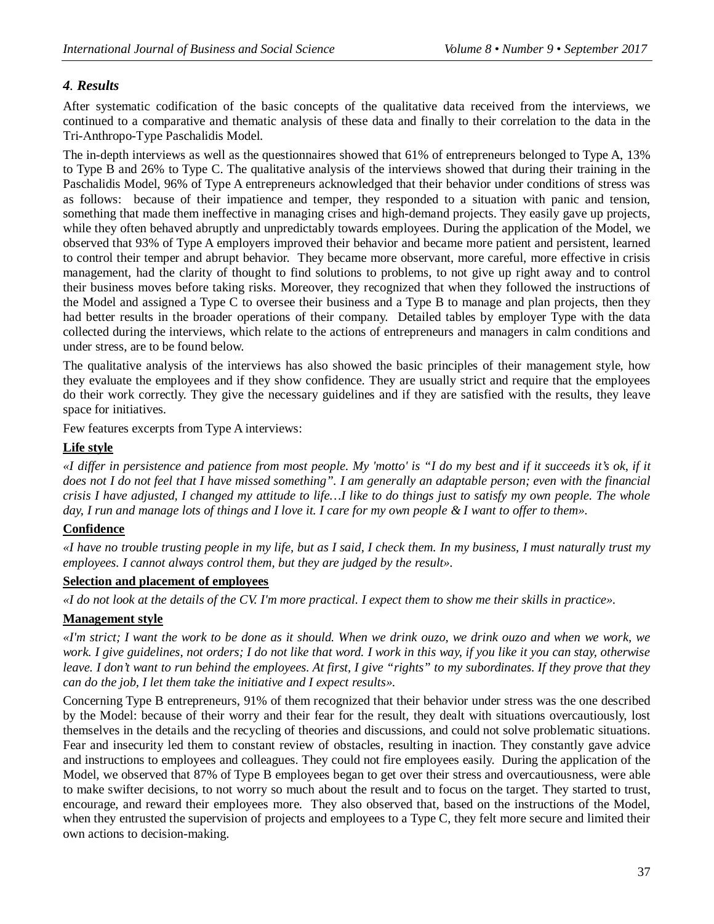### *4. Results*

After systematic codification of the basic concepts of the qualitative data received from the interviews, we continued to a comparative and thematic analysis of these data and finally to their correlation to the data in the Τri-Αnthropo-Τype Paschalidis Model.

The in-depth interviews as well as the questionnaires showed that 61% of entrepreneurs belonged to Type A, 13% to Type B and 26% to Type C. The qualitative analysis of the interviews showed that during their training in the Paschalidis Model, 96% of Type A entrepreneurs acknowledged that their behavior under conditions of stress was as follows: because of their impatience and temper, they responded to a situation with panic and tension, something that made them ineffective in managing crises and high-demand projects. They easily gave up projects, while they often behaved abruptly and unpredictably towards employees. During the application of the Model, we observed that 93% of Type A employers improved their behavior and became more patient and persistent, learned to control their temper and abrupt behavior. They became more observant, more careful, more effective in crisis management, had the clarity of thought to find solutions to problems, to not give up right away and to control their business moves before taking risks. Moreover, they recognized that when they followed the instructions of the Model and assigned a Type C to oversee their business and a Type B to manage and plan projects, then they had better results in the broader operations of their company. Detailed tables by employer Type with the data collected during the interviews, which relate to the actions of entrepreneurs and managers in calm conditions and under stress, are to be found below.

The qualitative analysis of the interviews has also showed the basic principles of their management style, how they evaluate the employees and if they show confidence. They are usually strict and require that the employees do their work correctly. They give the necessary guidelines and if they are satisfied with the results, they leave space for initiatives.

Few features excerpts from Type A interviews:

### **Life style**

*«I differ in persistence and patience from most people. My 'motto' is "I do my best and if it succeeds it's ok, if it does not I do not feel that I have missed something". I am generally an adaptable person; even with the financial crisis I have adjusted, I changed my attitude to life…I like to do things just to satisfy my own people. The whole day, I run and manage lots of things and I love it. I care for my own people & I want to offer to them».*

### **Confidence**

*«I have no trouble trusting people in my life, but as I said, I check them. In my business, I must naturally trust my employees. I cannot always control them, but they are judged by the result».*

#### **Selection and placement of employees**

*«I do not look at the details of the CV. I'm more practical. I expect them to show me their skills in practice».*

### **Management style**

*«I'm strict; I want the work to be done as it should. When we drink ouzo, we drink ouzo and when we work, we work. I give guidelines, not orders; I do not like that word. I work in this way, if you like it you can stay, otherwise leave. I don't want to run behind the employees. At first, I give "rights" to my subordinates. If they prove that they can do the job, I let them take the initiative and I expect results».*

Concerning Type B entrepreneurs, 91% of them recognized that their behavior under stress was the one described by the Model: because of their worry and their fear for the result, they dealt with situations overcautiously, lost themselves in the details and the recycling of theories and discussions, and could not solve problematic situations. Fear and insecurity led them to constant review of obstacles, resulting in inaction. They constantly gave advice and instructions to employees and colleagues. They could not fire employees easily. During the application of the Model, we observed that 87% of Type B employees began to get over their stress and overcautiousness, were able to make swifter decisions, to not worry so much about the result and to focus on the target. They started to trust, encourage, and reward their employees more. They also observed that, based on the instructions of the Model, when they entrusted the supervision of projects and employees to a Type C, they felt more secure and limited their own actions to decision-making.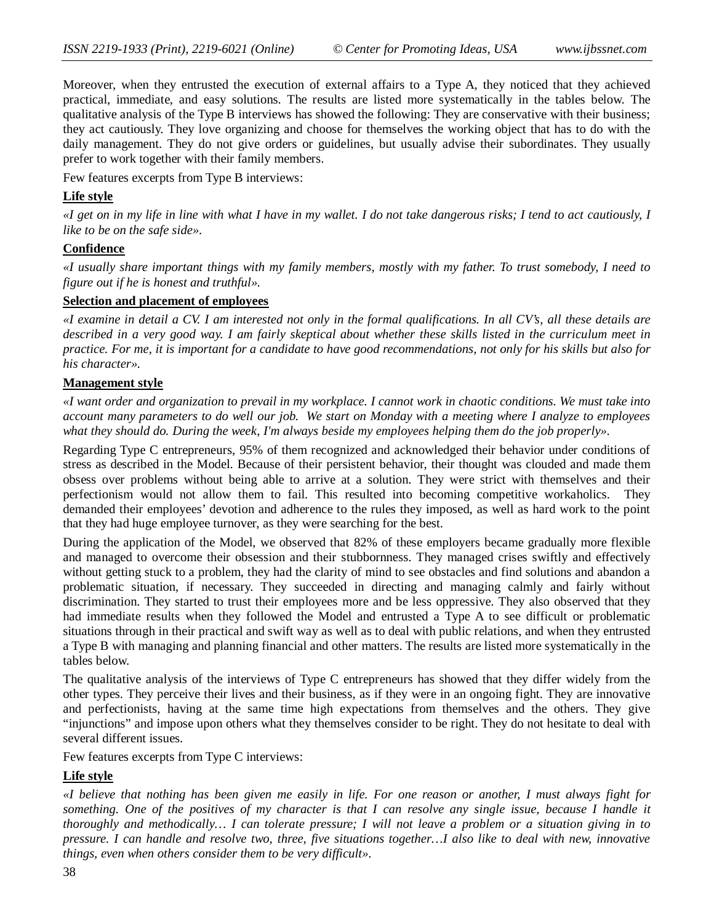Moreover, when they entrusted the execution of external affairs to a Type A, they noticed that they achieved practical, immediate, and easy solutions. The results are listed more systematically in the tables below. The qualitative analysis of the Type B interviews has showed the following: They are conservative with their business; they act cautiously. They love organizing and choose for themselves the working object that has to do with the daily management. They do not give orders or guidelines, but usually advise their subordinates. They usually prefer to work together with their family members.

Few features excerpts from Type B interviews:

#### **Life style**

*«I get on in my life in line with what I have in my wallet. I do not take dangerous risks; I tend to act cautiously, I like to be on the safe side».* 

#### **Confidence**

*«I usually share important things with my family members, mostly with my father. To trust somebody, I need to figure out if he is honest and truthful».* 

#### **Selection and placement of employees**

*«I examine in detail a CV. I am interested not only in the formal qualifications. In all CV's, all these details are described in a very good way. I am fairly skeptical about whether these skills listed in the curriculum meet in practice. For me, it is important for a candidate to have good recommendations, not only for his skills but also for his character».*

#### **Management style**

*«I want order and organization to prevail in my workplace. I cannot work in chaotic conditions. We must take into account many parameters to do well our job. We start on Monday with a meeting where I analyze to employees what they should do. During the week, I'm always beside my employees helping them do the job properly».*

Regarding Type C entrepreneurs, 95% of them recognized and acknowledged their behavior under conditions of stress as described in the Model. Because of their persistent behavior, their thought was clouded and made them obsess over problems without being able to arrive at a solution. They were strict with themselves and their perfectionism would not allow them to fail. This resulted into becoming competitive workaholics. They demanded their employees' devotion and adherence to the rules they imposed, as well as hard work to the point that they had huge employee turnover, as they were searching for the best.

During the application of the Model, we observed that 82% of these employers became gradually more flexible and managed to overcome their obsession and their stubbornness. They managed crises swiftly and effectively without getting stuck to a problem, they had the clarity of mind to see obstacles and find solutions and abandon a problematic situation, if necessary. They succeeded in directing and managing calmly and fairly without discrimination. They started to trust their employees more and be less oppressive. They also observed that they had immediate results when they followed the Model and entrusted a Type A to see difficult or problematic situations through in their practical and swift way as well as to deal with public relations, and when they entrusted a Type B with managing and planning financial and other matters. The results are listed more systematically in the tables below.

The qualitative analysis of the interviews of Type C entrepreneurs has showed that they differ widely from the other types. They perceive their lives and their business, as if they were in an ongoing fight. They are innovative and perfectionists, having at the same time high expectations from themselves and the others. They give "injunctions" and impose upon others what they themselves consider to be right. They do not hesitate to deal with several different issues.

Few features excerpts from Type C interviews:

### **Life style**

*«I believe that nothing has been given me easily in life. For one reason or another, I must always fight for something. One of the positives of my character is that I can resolve any single issue, because I handle it thoroughly and methodically… I can tolerate pressure; I will not leave a problem or a situation giving in to pressure. I can handle and resolve two, three, five situations together…I also like to deal with new, innovative things, even when others consider them to be very difficult».*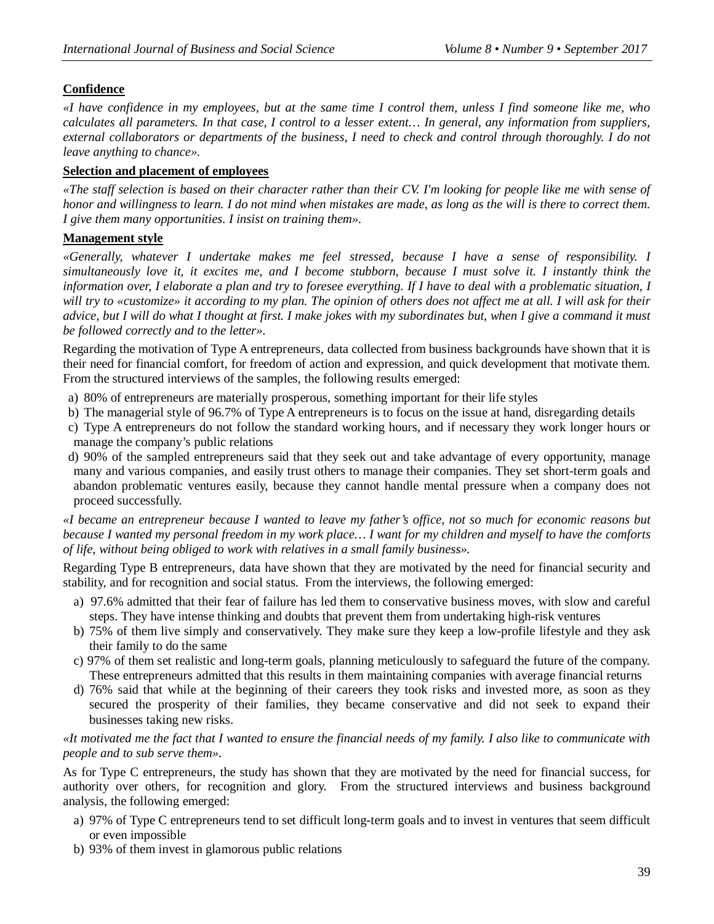### **Confidence**

*«I have confidence in my employees, but at the same time I control them, unless I find someone like me, who calculates all parameters. In that case, I control to a lesser extent… In general, any information from suppliers, external collaborators or departments of the business, I need to check and control through thoroughly. I do not leave anything to chance».*

#### **Selection and placement of employees**

*«The staff selection is based on their character rather than their CV. I'm looking for people like me with sense of honor and willingness to learn. I do not mind when mistakes are made, as long as the will is there to correct them. I give them many opportunities. I insist on training them».* 

#### **Management style**

*«Generally, whatever I undertake makes me feel stressed, because I have a sense of responsibility. I simultaneously love it, it excites me, and I become stubborn, because I must solve it. I instantly think the information over, I elaborate a plan and try to foresee everything. If I have to deal with a problematic situation, I will try to «customize» it according to my plan. The opinion of others does not affect me at all. I will ask for their advice, but I will do what I thought at first. I make jokes with my subordinates but, when I give a command it must be followed correctly and to the letter».*

Regarding the motivation of Type A entrepreneurs, data collected from business backgrounds have shown that it is their need for financial comfort, for freedom of action and expression, and quick development that motivate them. From the structured interviews of the samples, the following results emerged:

- a) 80% of entrepreneurs are materially prosperous, something important for their life styles
- b) The managerial style of 96.7% of Type A entrepreneurs is to focus on the issue at hand, disregarding details
- c) Type A entrepreneurs do not follow the standard working hours, and if necessary they work longer hours or manage the company's public relations
- d) 90% of the sampled entrepreneurs said that they seek out and take advantage of every opportunity, manage many and various companies, and easily trust others to manage their companies. They set short-term goals and abandon problematic ventures easily, because they cannot handle mental pressure when a company does not proceed successfully.

*«I became an entrepreneur because I wanted to leave my father's office, not so much for economic reasons but because I wanted my personal freedom in my work place… I want for my children and myself to have the comforts of life, without being obliged to work with relatives in a small family business».*

Regarding Type B entrepreneurs, data have shown that they are motivated by the need for financial security and stability, and for recognition and social status. From the interviews, the following emerged:

- a) 97.6% admitted that their fear of failure has led them to conservative business moves, with slow and careful steps. They have intense thinking and doubts that prevent them from undertaking high-risk ventures
- b) 75% of them live simply and conservatively. They make sure they keep a low-profile lifestyle and they ask their family to do the same
- c) 97% of them set realistic and long-term goals, planning meticulously to safeguard the future of the company. These entrepreneurs admitted that this results in them maintaining companies with average financial returns
- d) 76% said that while at the beginning of their careers they took risks and invested more, as soon as they secured the prosperity of their families, they became conservative and did not seek to expand their businesses taking new risks.

#### *«It motivated me the fact that I wanted to ensure the financial needs of my family. I also like to communicate with people and to sub serve them».*

As for Type C entrepreneurs, the study has shown that they are motivated by the need for financial success, for authority over others, for recognition and glory. From the structured interviews and business background analysis, the following emerged:

- a) 97% of Type C entrepreneurs tend to set difficult long-term goals and to invest in ventures that seem difficult or even impossible
- b) 93% of them invest in glamorous public relations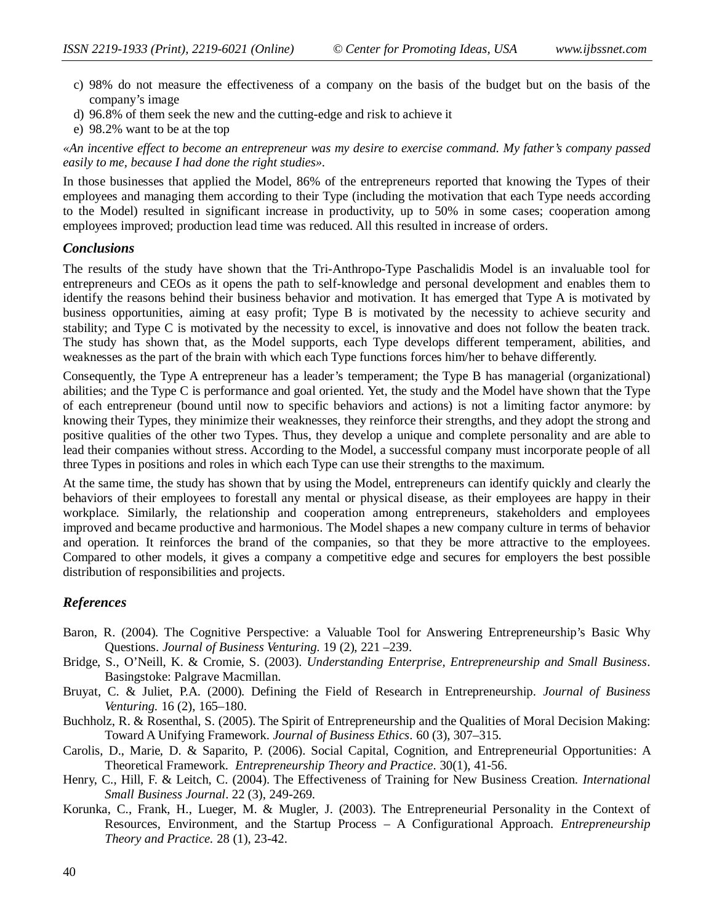- c) 98% do not measure the effectiveness of a company on the basis of the budget but on the basis of the company's image
- d) 96.8% of them seek the new and the cutting-edge and risk to achieve it
- e) 98.2% want to be at the top

*«An incentive effect to become an entrepreneur was my desire to exercise command. My father's company passed easily to me, because I had done the right studies».*

In those businesses that applied the Model, 86% of the entrepreneurs reported that knowing the Types of their employees and managing them according to their Type (including the motivation that each Type needs according to the Model) resulted in significant increase in productivity, up to 50% in some cases; cooperation among employees improved; production lead time was reduced. All this resulted in increase of orders.

#### *Conclusions*

The results of the study have shown that the Tri-Anthropo-Type Paschalidis Model is an invaluable tool for entrepreneurs and CEOs as it opens the path to self-knowledge and personal development and enables them to identify the reasons behind their business behavior and motivation. It has emerged that Type A is motivated by business opportunities, aiming at easy profit; Type B is motivated by the necessity to achieve security and stability; and Type C is motivated by the necessity to excel, is innovative and does not follow the beaten track. The study has shown that, as the Model supports, each Type develops different temperament, abilities, and weaknesses as the part of the brain with which each Type functions forces him/her to behave differently.

Consequently, the Type A entrepreneur has a leader's temperament; the Type B has managerial (organizational) abilities; and the Type C is performance and goal oriented. Yet, the study and the Model have shown that the Type of each entrepreneur (bound until now to specific behaviors and actions) is not a limiting factor anymore: by knowing their Types, they minimize their weaknesses, they reinforce their strengths, and they adopt the strong and positive qualities of the other two Types. Thus, they develop a unique and complete personality and are able to lead their companies without stress. According to the Model, a successful company must incorporate people of all three Types in positions and roles in which each Type can use their strengths to the maximum.

At the same time, the study has shown that by using the Model, entrepreneurs can identify quickly and clearly the behaviors of their employees to forestall any mental or physical disease, as their employees are happy in their workplace. Similarly, the relationship and cooperation among entrepreneurs, stakeholders and employees improved and became productive and harmonious. The Model shapes a new company culture in terms of behavior and operation. It reinforces the brand of the companies, so that they be more attractive to the employees. Compared to other models, it gives a company a competitive edge and secures for employers the best possible distribution of responsibilities and projects.

#### *References*

- Baron, R. (2004). The Cognitive Perspective: a Valuable Tool for Answering Entrepreneurship's Basic Why Questions. *Journal of Business Venturing.* 19 (2), 221 –239.
- Bridge, S., O'Neill, K. & Cromie, S. (2003). *Understanding Enterprise, Entrepreneurship and Small Business*. Basingstoke: Palgrave Macmillan.
- Bruyat, C. & Juliet, P.A. (2000). Defining the Field of Research in Entrepreneurship. *Journal of Business Venturing.* 16 (2), 165–180.
- Buchholz, R. & Rosenthal, S. (2005). The Spirit of Entrepreneurship and the Qualities of Moral Decision Making: Toward A Unifying Framework. *Journal of Business Ethics*. 60 (3), 307–315.
- Carolis, D., Marie, D. & Saparito, P. (2006). Social Capital, Cognition, and Entrepreneurial Opportunities: A Theoretical Framework. *Entrepreneurship Theory and Practice*. 30(1), 41-56.
- Henry, C., Hill, F. & Leitch, C. (2004). The Effectiveness of Training for New Business Creation. *International Small Business Journal*. 22 (3), 249-269.
- Korunka, C., Frank, H., Lueger, M. & Mugler, J. (2003). The Entrepreneurial Personality in the Context of Resources, Environment, and the Startup Process – A Configurational Approach. *Entrepreneurship Theory and Practice.* 28 (1), 23-42.